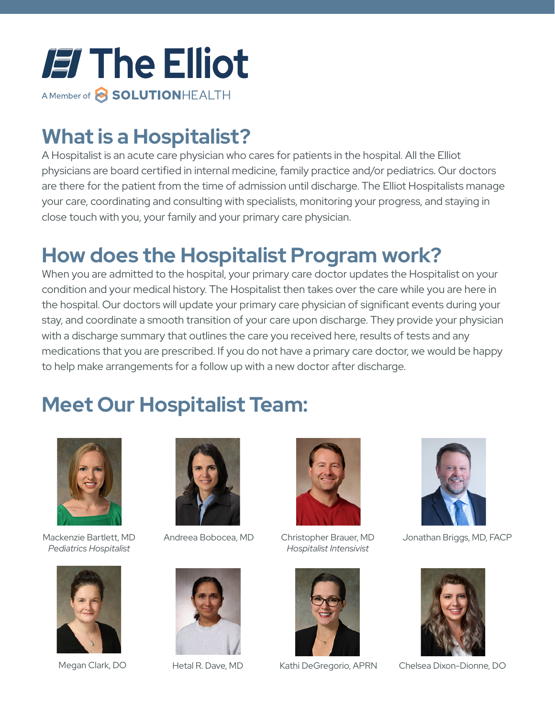

## **What is a Hospitalist?**

A Hospitalist is an acute care physician who cares for patients in the hospital. All the Elliot physicians are board certified in internal medicine, family practice and/or pediatrics. Our doctors are there for the patient from the time of admission until discharge. The Elliot Hospitalists manage your care, coordinating and consulting with specialists, monitoring your progress, and staying in close touch with you, your family and your primary care physician.

## **How does the Hospitalist Program work?**

When you are admitted to the hospital, your primary care doctor updates the Hospitalist on your condition and your medical history. The Hospitalist then takes over the care while you are here in the hospital. Our doctors will update your primary care physician of significant events during your stay, and coordinate a smooth transition of your care upon discharge. They provide your physician with a discharge summary that outlines the care you received here, results of tests and any medications that you are prescribed. If you do not have a primary care doctor, we would be happy to help make arrangements for a follow up with a new doctor after discharge.

## **Meet Our Hospitalist Team:**



Mackenzie Bartlett, MD *Pediatrics Hospitalist*



Megan Clark, DO



Andreea Bobocea, MD



Hetal R. Dave, MD



Christopher Brauer, MD *Hospitalist Intensivist*



Kathi DeGregorio, APRN



Jonathan Briggs, MD, FACP



Chelsea Dixon-Dionne, DO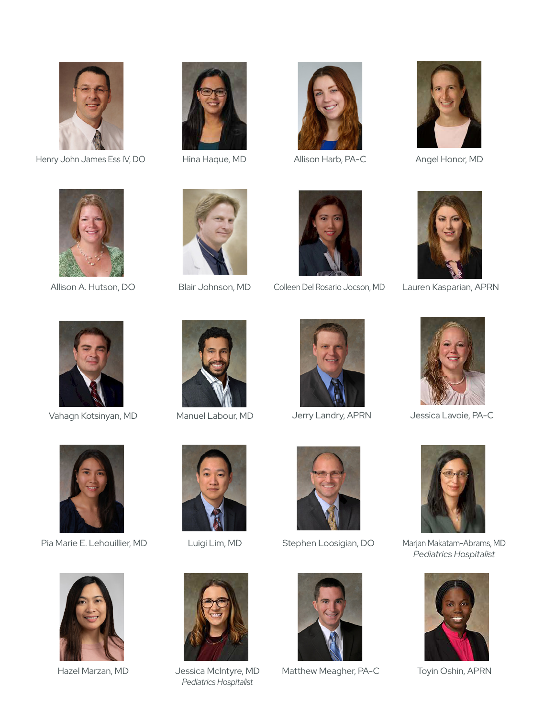

Henry John James Ess IV, DO Hina Haque, MD Allison Harb, PA-C







Angel Honor, MD







Allison A. Hutson, DO Blair Johnson, MD Colleen Del Rosario Jocson, MD





Lauren Kasparian, APRN



Vahagn Kotsinyan, MD Manuel Labour, MD Jerry Landry, APRN Jessica Lavoie, PA-C









Pia Marie E. Lehouillier, MD Luigi Lim, MD Stephen Loosigian, DO







Jessica McIntyre, MD *Pediatrics Hospitalist*





Hazel Marzan, MD - Jessica McIntyre, MD - Matthew Meagher, PA-C - Toyin Oshin, APRN



Marjan Makatam-Abrams, MD *Pediatrics Hospitalist*